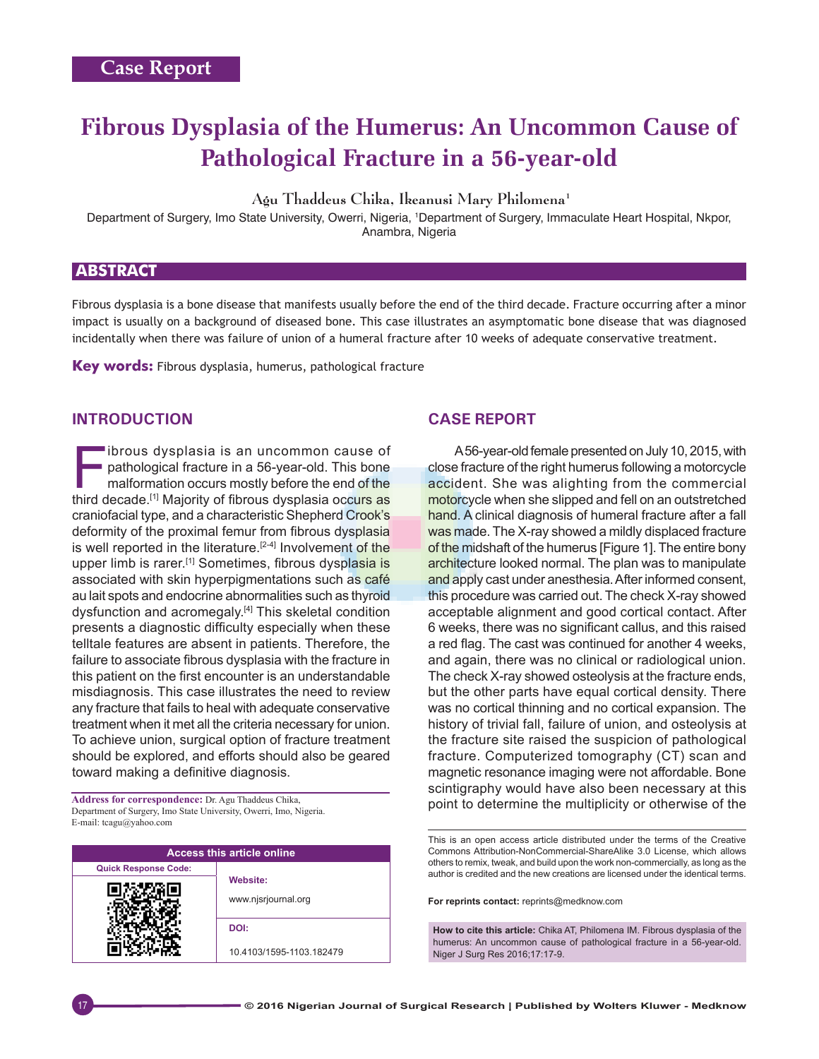# **Fibrous Dysplasia of the Humerus: An Uncommon Cause of Pathological Fracture in a 56‑year‑old**

Agu Thaddeus Chika, Ikeanusi Mary Philomena1

Department of Surgery, Imo State University, Owerri, Nigeria, 1Department of Surgery, Immaculate Heart Hospital, Nkpor, Anambra, Nigeria

## **ABSTRACT**

Fibrous dysplasia is a bone disease that manifests usually before the end of the third decade. Fracture occurring after a minor impact is usually on a background of diseased bone. This case illustrates an asymptomatic bone disease that was diagnosed incidentally when there was failure of union of a humeral fracture after 10 weeks of adequate conservative treatment.

**Key words:** Fibrous dysplasia, humerus, pathological fracture

## **INTRODUCTION**

ibrous dysplasia is an uncommon cause of<br>pathological fracture in a 56-year-old. This bone<br>malformation occurs mostly before the end of the<br>third decade [1] Majority of fibrous dysplasia occurs as pathological fracture in a 56-year-old. This bone malformation occurs mostly before the end of the third decade.<sup>[1]</sup> Majority of fibrous dysplasia occurs as craniofacial type, and a characteristic Shepherd Crook's deformity of the proximal femur from fibrous dysplasia is well reported in the literature.<sup>[2-4]</sup> Involvement of the upper limb is rarer.<sup>[1]</sup> Sometimes, fibrous dysplasia is associated with skin hyperpigmentations such as café au lait spots and endocrine abnormalities such as thyroid dysfunction and acromegaly.[4] This skeletal condition presents a diagnostic difficulty especially when these telltale features are absent in patients. Therefore, the failure to associate fibrous dysplasia with the fracture in this patient on the first encounter is an understandable misdiagnosis. This case illustrates the need to review any fracture that fails to heal with adequate conservative treatment when it met all the criteria necessary for union. To achieve union, surgical option of fracture treatment should be explored, and efforts should also be geared toward making a definitive diagnosis.

Department of Surgery, Imo State University, Owerri, Imo, Nigeria. E‑mail: tcagu@yahoo.com

| <b>Access this article online</b> |                                 |
|-----------------------------------|---------------------------------|
| <b>Quick Response Code:</b>       |                                 |
|                                   | Website:<br>www.njsrjournal.org |
|                                   | DOI:                            |
|                                   | 10.4103/1595-1103.182479        |

# **CASE REPORT**

A 56-year-old female presented on July 10, 2015, with close fracture of the right humerus following a motorcycle accident. She was alighting from the commercial motorcycle when she slipped and fell on an outstretched hand. A clinical diagnosis of humeral fracture after a fall was made. The X-ray showed a mildly displaced fracture of the midshaft of the humerus [Figure 1]. The entire bony architecture looked normal. The plan was to manipulate and apply cast under anesthesia. After informed consent, this procedure was carried out. The check X-ray showed acceptable alignment and good cortical contact. After 6 weeks, there was no significant callus, and this raised a red flag. The cast was continued for another 4 weeks, and again, there was no clinical or radiological union. The check X-ray showed osteolysis at the fracture ends, but the other parts have equal cortical density. There was no cortical thinning and no cortical expansion. The history of trivial fall, failure of union, and osteolysis at the fracture site raised the suspicion of pathological fracture. Computerized tomography (CT) scan and magnetic resonance imaging were not affordable. Bone scintigraphy would have also been necessary at this Address for correspondence: Dr. Agu Thaddeus Chika,<br>**Positive of the contract of the contract of the contract of the contract of the contract of the contract of the** 

> This is an open access article distributed under the terms of the Creative Commons Attribution-NonCommercial-ShareAlike 3.0 License, which allows others to remix, tweak, and build upon the work non-commercially, as long as the author is credited and the new creations are licensed under the identical terms.

**For reprints contact:** reprints@medknow.com

**How to cite this article:** Chika AT, Philomena IM. Fibrous dysplasia of the humerus: An uncommon cause of pathological fracture in a 56-year-old. Niger J Surg Res 2016;17:17-9.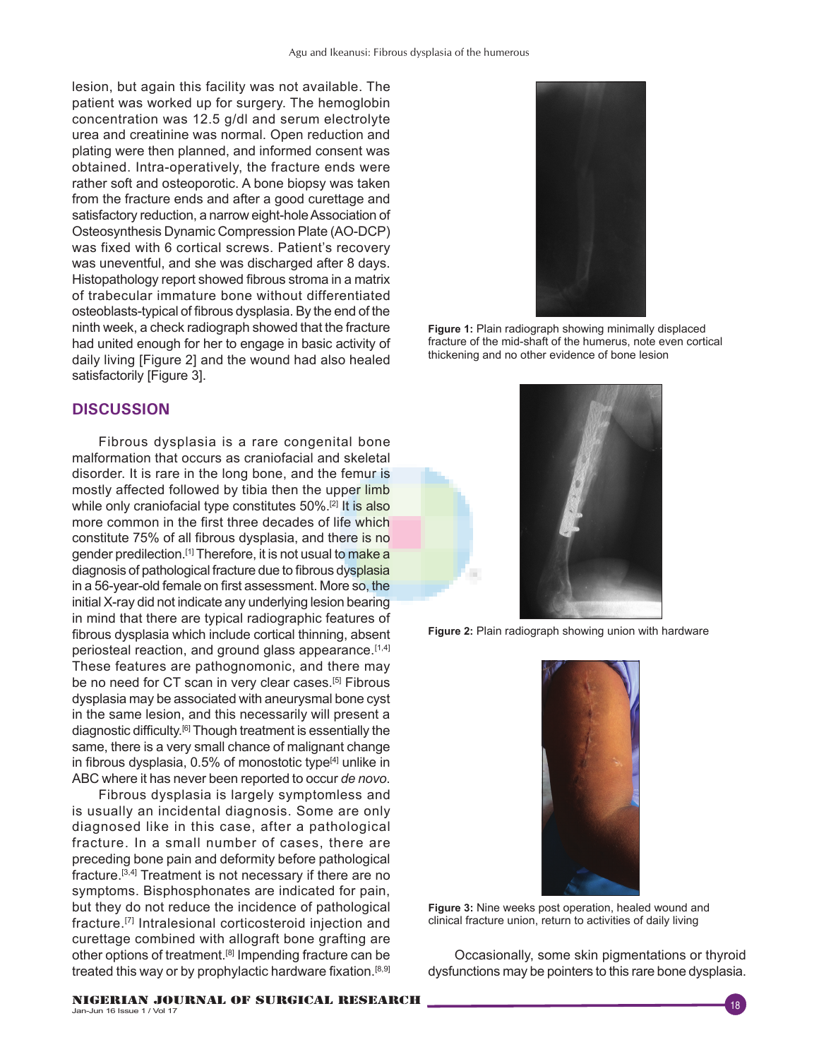lesion, but again this facility was not available. The patient was worked up for surgery. The hemoglobin concentration was 12.5 g/dl and serum electrolyte urea and creatinine was normal. Open reduction and plating were then planned, and informed consent was obtained. Intra-operatively, the fracture ends were rather soft and osteoporotic. A bone biopsy was taken from the fracture ends and after a good curettage and satisfactory reduction, a narrow eight-hole Association of Osteosynthesis Dynamic Compression Plate (AO-DCP) was fixed with 6 cortical screws. Patient's recovery was uneventful, and she was discharged after 8 days. Histopathology report showed fibrous stroma in a matrix of trabecular immature bone without differentiated osteoblasts‑typical of fibrous dysplasia. By the end of the ninth week, a check radiograph showed that the fracture had united enough for her to engage in basic activity of daily living [Figure 2] and the wound had also healed satisfactorily [Figure 3].

#### **DISCUSSION**

Fibrous dysplasia is a rare congenital bone malformation that occurs as craniofacial and skeletal disorder. It is rare in the long bone, and the femur is mostly affected followed by tibia then the upper limb while only craniofacial type constitutes 50%.<sup>[2]</sup> It is also more common in the first three decades of life which constitute 75% of all fibrous dysplasia, and there is no gender predilection.<sup>[1]</sup> Therefore, it is not usual to make a diagnosis of pathological fracture due to fibrous dysplasia in a 56‑year‑old female on first assessment. More so, the initial X-ray did not indicate any underlying lesion bearing in mind that there are typical radiographic features of fibrous dysplasia which include cortical thinning, absent periosteal reaction, and ground glass appearance.<sup>[1,4]</sup> These features are pathognomonic, and there may be no need for CT scan in very clear cases.<sup>[5]</sup> Fibrous dysplasia may be associated with aneurysmal bone cyst in the same lesion, and this necessarily will present a diagnostic difficulty.[6] Though treatment is essentially the same, there is a very small chance of malignant change in fibrous dysplasia,  $0.5\%$  of monostotic type $[4]$  unlike in ABC where it has never been reported to occur *de novo*.

Fibrous dysplasia is largely symptomless and is usually an incidental diagnosis. Some are only diagnosed like in this case, after a pathological fracture. In a small number of cases, there are preceding bone pain and deformity before pathological fracture.[3,4] Treatment is not necessary if there are no symptoms. Bisphosphonates are indicated for pain, but they do not reduce the incidence of pathological fracture.[7] Intralesional corticosteroid injection and curettage combined with allograft bone grafting are other options of treatment.<sup>[8]</sup> Impending fracture can be treated this way or by prophylactic hardware fixation.<sup>[8,9]</sup>



**Figure 1:** Plain radiograph showing minimally displaced fracture of the mid-shaft of the humerus, note even cortical thickening and no other evidence of bone lesion



**Figure 2:** Plain radiograph showing union with hardware



**Figure 3:** Nine weeks post operation, healed wound and clinical fracture union, return to activities of daily living

Occasionally, some skin pigmentations or thyroid dysfunctions may be pointers to this rare bone dysplasia.